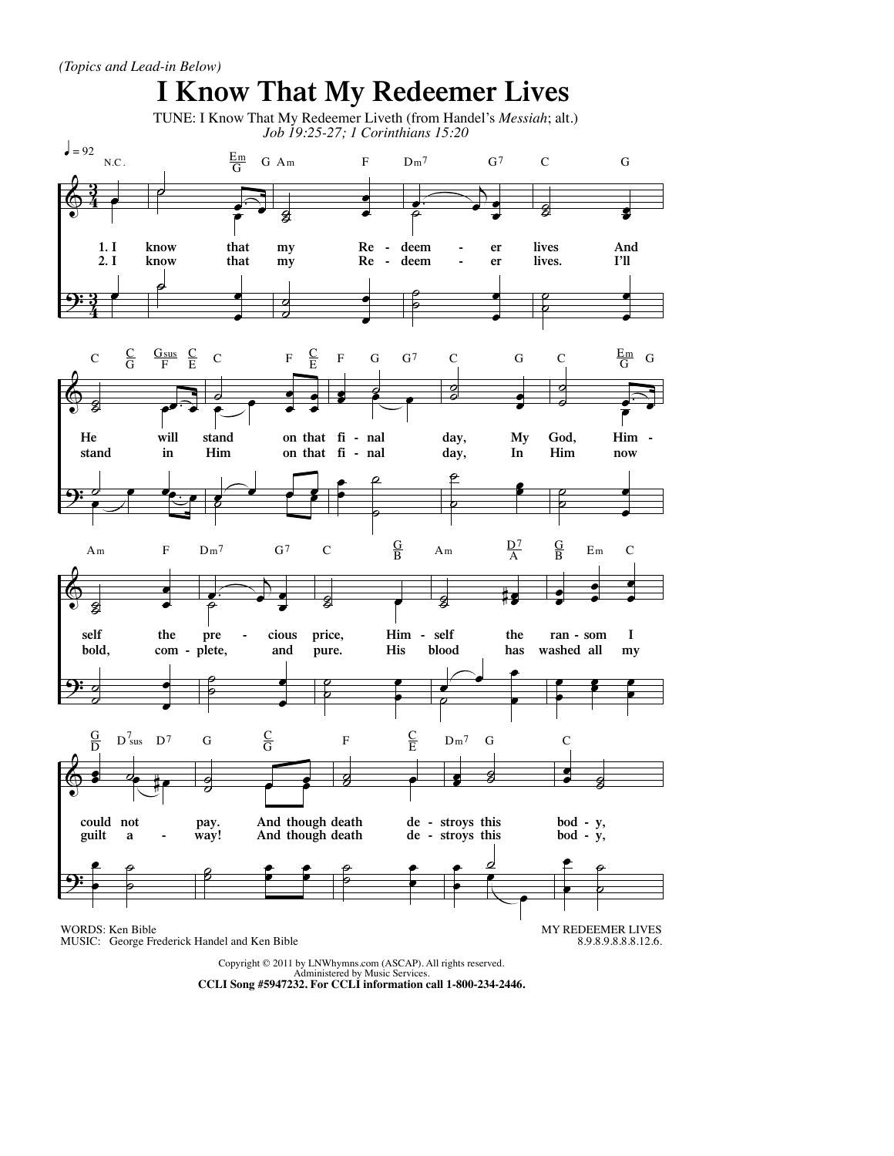

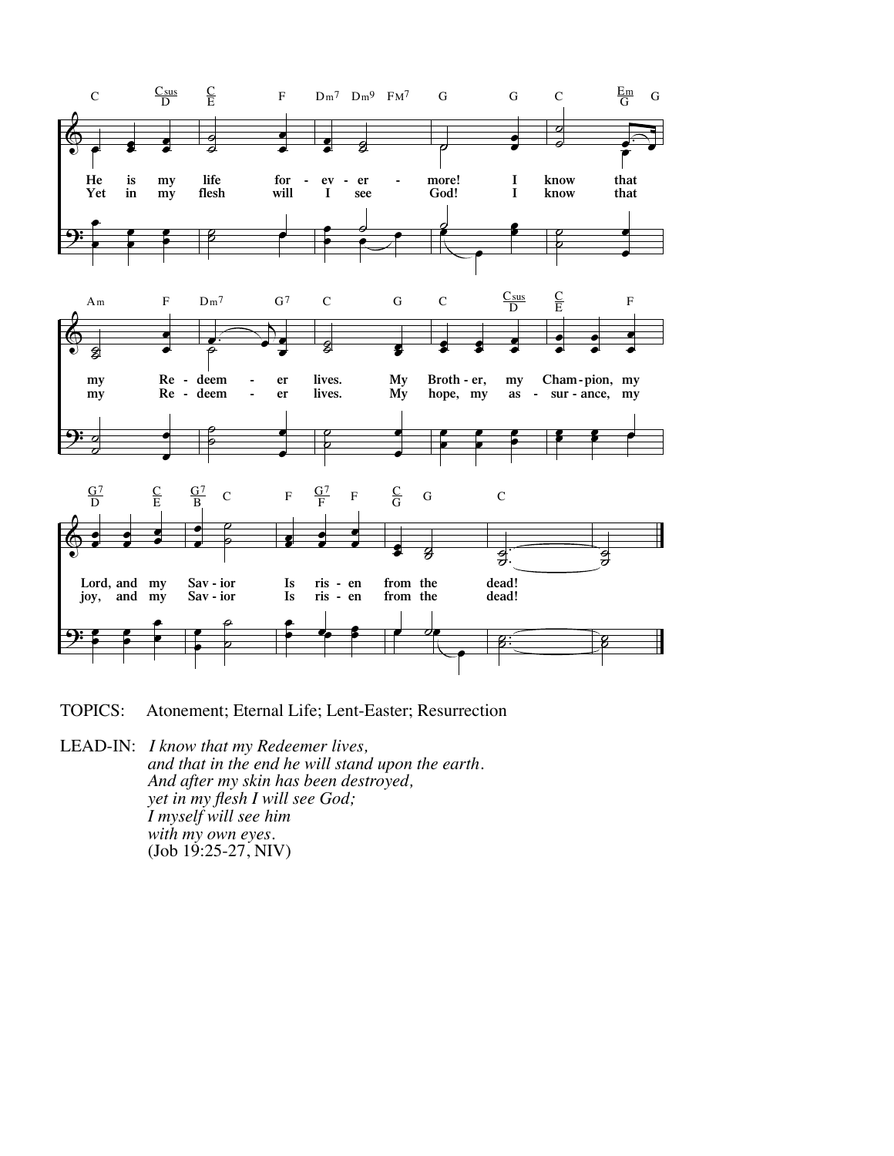

**TOPICS:** Atonement; Eternal Life; Lent-Easter; Resurrection

LEAD-IN: I know that my Redeemer lives, and that in the end he will stand upon the earth. And after my skin has been destroyed, yet in my flesh I will see God; I myself will see him with my own eyes.  $(Job 19:25-27, NIV)$